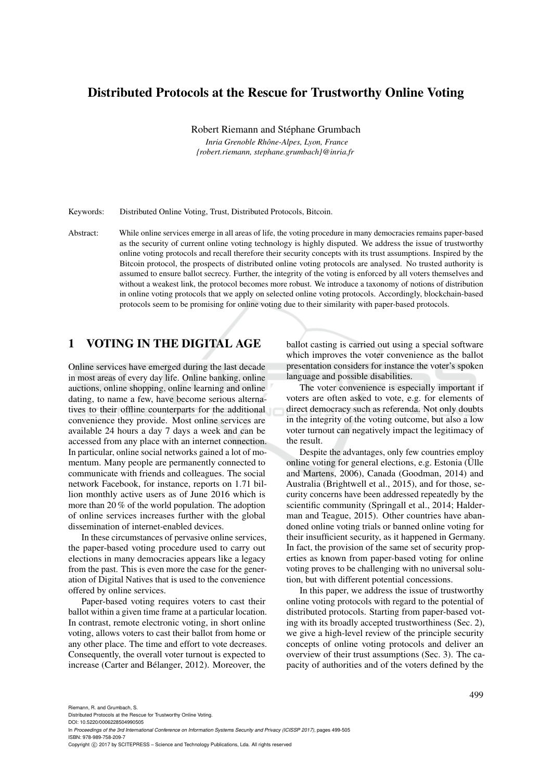# Distributed Protocols at the Rescue for Trustworthy Online Voting

Robert Riemann and Stéphane Grumbach

*Inria Grenoble Rhône-Alpes, Lyon, France {robert.riemann, stephane.grumbach}@inria.fr*

Keywords: Distributed Online Voting, Trust, Distributed Protocols, Bitcoin.

Abstract: While online services emerge in all areas of life, the voting procedure in many democracies remains paper-based as the security of current online voting technology is highly disputed. We address the issue of trustworthy online voting protocols and recall therefore their security concepts with its trust assumptions. Inspired by the Bitcoin protocol, the prospects of distributed online voting protocols are analysed. No trusted authority is assumed to ensure ballot secrecy. Further, the integrity of the voting is enforced by all voters themselves and without a weakest link, the protocol becomes more robust. We introduce a taxonomy of notions of distribution in online voting protocols that we apply on selected online voting protocols. Accordingly, blockchain-based protocols seem to be promising for online voting due to their similarity with paper-based protocols.

### 1 VOTING IN THE DIGITAL AGE

Online services have emerged during the last decade in most areas of every day life. Online banking, online auctions, online shopping, online learning and online dating, to name a few, have become serious alternatives to their offline counterparts for the additional convenience they provide. Most online services are available 24 hours a day 7 days a week and can be accessed from any place with an internet connection. In particular, online social networks gained a lot of momentum. Many people are permanently connected to communicate with friends and colleagues. The social network Facebook, for instance, reports on 1.71 billion monthly active users as of June 2016 which is more than 20 % of the world population. The adoption of online services increases further with the global dissemination of internet-enabled devices.

In these circumstances of pervasive online services, the paper-based voting procedure used to carry out elections in many democracies appears like a legacy from the past. This is even more the case for the generation of Digital Natives that is used to the convenience offered by online services.

Paper-based voting requires voters to cast their ballot within a given time frame at a particular location. In contrast, remote electronic voting, in short online voting, allows voters to cast their ballot from home or any other place. The time and effort to vote decreases. Consequently, the overall voter turnout is expected to increase (Carter and Bélanger, 2012). Moreover, the

ballot casting is carried out using a special software which improves the voter convenience as the ballot presentation considers for instance the voter's spoken language and possible disabilities.

The voter convenience is especially important if voters are often asked to vote, e.g. for elements of direct democracy such as referenda. Not only doubts in the integrity of the voting outcome, but also a low voter turnout can negatively impact the legitimacy of the result.

Despite the advantages, only few countries employ online voting for general elections, e.g. Estonia (Ülle and Martens, 2006), Canada (Goodman, 2014) and Australia (Brightwell et al., 2015), and for those, security concerns have been addressed repeatedly by the scientific community (Springall et al., 2014; Halderman and Teague, 2015). Other countries have abandoned online voting trials or banned online voting for their insufficient security, as it happened in Germany. In fact, the provision of the same set of security properties as known from paper-based voting for online voting proves to be challenging with no universal solution, but with different potential concessions.

In this paper, we address the issue of trustworthy online voting protocols with regard to the potential of distributed protocols. Starting from paper-based voting with its broadly accepted trustworthiness (Sec. 2), we give a high-level review of the principle security concepts of online voting protocols and deliver an overview of their trust assumptions (Sec. 3). The capacity of authorities and of the voters defined by the

Riemann, R. and Grumbach, S.

Distributed Protocols at the Rescue for Trustworthy Online Voting.

DOI: 10.5220/0006228504990505 In *Proceedings of the 3rd International Conference on Information Systems Security and Privacy (ICISSP 2017)*, pages 499-505 ISBN: 978-989-758-209-7

Copyright (C) 2017 by SCITEPRESS - Science and Technology Publications, Lda. All rights reserved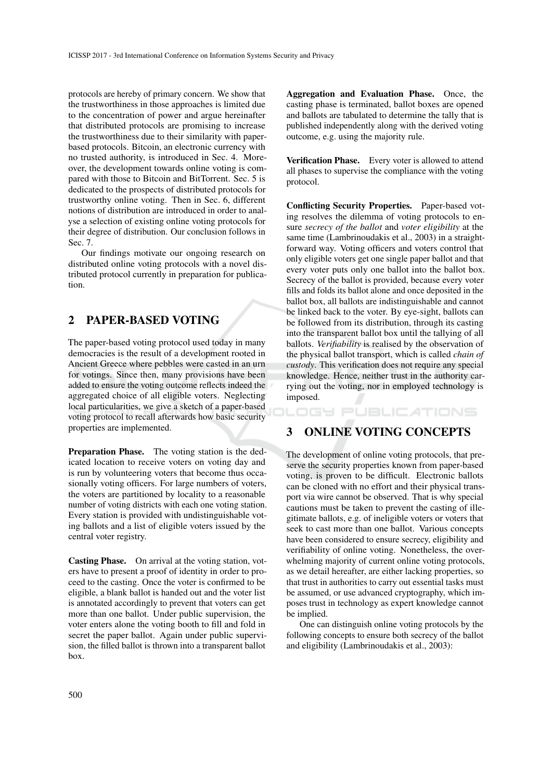protocols are hereby of primary concern. We show that the trustworthiness in those approaches is limited due to the concentration of power and argue hereinafter that distributed protocols are promising to increase the trustworthiness due to their similarity with paperbased protocols. Bitcoin, an electronic currency with no trusted authority, is introduced in Sec. 4. Moreover, the development towards online voting is compared with those to Bitcoin and BitTorrent. Sec. 5 is dedicated to the prospects of distributed protocols for trustworthy online voting. Then in Sec. 6, different notions of distribution are introduced in order to analyse a selection of existing online voting protocols for their degree of distribution. Our conclusion follows in Sec. 7.

Our findings motivate our ongoing research on distributed online voting protocols with a novel distributed protocol currently in preparation for publication.

# 2 PAPER-BASED VOTING

The paper-based voting protocol used today in many democracies is the result of a development rooted in Ancient Greece where pebbles were casted in an urn for votings. Since then, many provisions have been added to ensure the voting outcome reflects indeed the aggregated choice of all eligible voters. Neglecting local particularities, we give a sketch of a paper-based voting protocol to recall afterwards how basic security properties are implemented.

Preparation Phase. The voting station is the dedicated location to receive voters on voting day and is run by volunteering voters that become thus occasionally voting officers. For large numbers of voters, the voters are partitioned by locality to a reasonable number of voting districts with each one voting station. Every station is provided with undistinguishable voting ballots and a list of eligible voters issued by the central voter registry.

Casting Phase. On arrival at the voting station, voters have to present a proof of identity in order to proceed to the casting. Once the voter is confirmed to be eligible, a blank ballot is handed out and the voter list is annotated accordingly to prevent that voters can get more than one ballot. Under public supervision, the voter enters alone the voting booth to fill and fold in secret the paper ballot. Again under public supervision, the filled ballot is thrown into a transparent ballot box.

Aggregation and Evaluation Phase. Once, the casting phase is terminated, ballot boxes are opened and ballots are tabulated to determine the tally that is published independently along with the derived voting outcome, e.g. using the majority rule.

Verification Phase. Every voter is allowed to attend all phases to supervise the compliance with the voting protocol.

Conflicting Security Properties. Paper-based voting resolves the dilemma of voting protocols to ensure *secrecy of the ballot* and *voter eligibility* at the same time (Lambrinoudakis et al., 2003) in a straightforward way. Voting officers and voters control that only eligible voters get one single paper ballot and that every voter puts only one ballot into the ballot box. Secrecy of the ballot is provided, because every voter fills and folds its ballot alone and once deposited in the ballot box, all ballots are indistinguishable and cannot be linked back to the voter. By eye-sight, ballots can be followed from its distribution, through its casting into the transparent ballot box until the tallying of all ballots. *Verifiability* is realised by the observation of the physical ballot transport, which is called *chain of custody*. This verification does not require any special knowledge. Hence, neither trust in the authority carrying out the voting, nor in employed technology is imposed.

IGY PUBLIC ATIONS

# 3 ONLINE VOTING CONCEPTS

The development of online voting protocols, that preserve the security properties known from paper-based voting, is proven to be difficult. Electronic ballots can be cloned with no effort and their physical transport via wire cannot be observed. That is why special cautions must be taken to prevent the casting of illegitimate ballots, e.g. of ineligible voters or voters that seek to cast more than one ballot. Various concepts have been considered to ensure secrecy, eligibility and verifiability of online voting. Nonetheless, the overwhelming majority of current online voting protocols, as we detail hereafter, are either lacking properties, so that trust in authorities to carry out essential tasks must be assumed, or use advanced cryptography, which imposes trust in technology as expert knowledge cannot be implied.

One can distinguish online voting protocols by the following concepts to ensure both secrecy of the ballot and eligibility (Lambrinoudakis et al., 2003):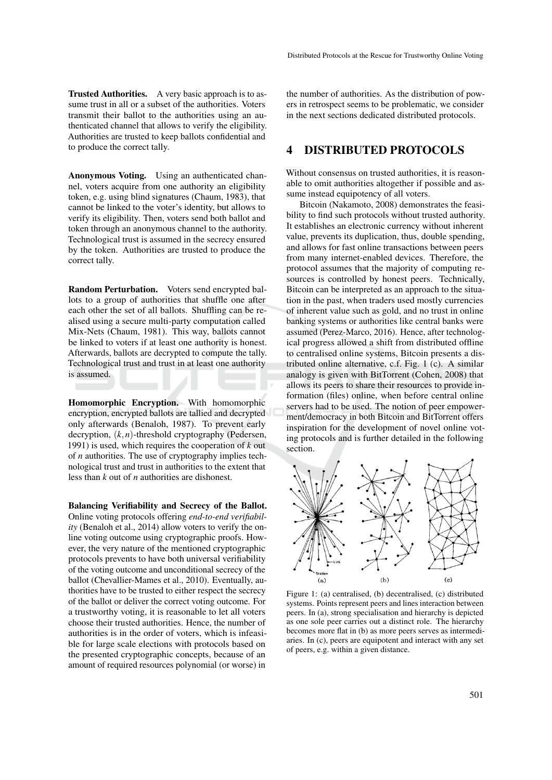Anonymous Voting. Using an authenticated channel, voters acquire from one authority an eligibility token, e.g. using blind signatures (Chaum, 1983), that cannot be linked to the voter's identity, but allows to verify its eligibility. Then, voters send both ballot and token through an anonymous channel to the authority. Technological trust is assumed in the secrecy ensured by the token. Authorities are trusted to produce the correct tally.

Random Perturbation. Voters send encrypted ballots to a group of authorities that shuffle one after each other the set of all ballots. Shuffling can be realised using a secure multi-party computation called Mix-Nets (Chaum, 1981). This way, ballots cannot be linked to voters if at least one authority is honest. Afterwards, ballots are decrypted to compute the tally. Technological trust and trust in at least one authority is assumed.

Homomorphic Encryption. With homomorphic encryption, encrypted ballots are tallied and decrypted only afterwards (Benaloh, 1987). To prevent early decryption, (*k*,*n*)-threshold cryptography (Pedersen, 1991) is used, which requires the cooperation of *k* out of *n* authorities. The use of cryptography implies technological trust and trust in authorities to the extent that less than *k* out of *n* authorities are dishonest.

Balancing Verifiability and Secrecy of the Ballot. Online voting protocols offering *end-to-end verifiability* (Benaloh et al., 2014) allow voters to verify the online voting outcome using cryptographic proofs. However, the very nature of the mentioned cryptographic protocols prevents to have both universal verifiability of the voting outcome and unconditional secrecy of the ballot (Chevallier-Mames et al., 2010). Eventually, authorities have to be trusted to either respect the secrecy of the ballot or deliver the correct voting outcome. For a trustworthy voting, it is reasonable to let all voters choose their trusted authorities. Hence, the number of authorities is in the order of voters, which is infeasible for large scale elections with protocols based on the presented cryptographic concepts, because of an amount of required resources polynomial (or worse) in

the number of authorities. As the distribution of powers in retrospect seems to be problematic, we consider in the next sections dedicated distributed protocols.

### 4 DISTRIBUTED PROTOCOLS

Without consensus on trusted authorities, it is reasonable to omit authorities altogether if possible and assume instead equipotency of all voters.

Bitcoin (Nakamoto, 2008) demonstrates the feasibility to find such protocols without trusted authority. It establishes an electronic currency without inherent value, prevents its duplication, thus, double spending, and allows for fast online transactions between peers from many internet-enabled devices. Therefore, the protocol assumes that the majority of computing resources is controlled by honest peers. Technically, Bitcoin can be interpreted as an approach to the situation in the past, when traders used mostly currencies of inherent value such as gold, and no trust in online banking systems or authorities like central banks were assumed (Perez-Marco, 2016). Hence, after technological progress allowed a shift from distributed offline to centralised online systems, Bitcoin presents a distributed online alternative, c.f. Fig. 1 (c). A similar analogy is given with BitTorrent (Cohen, 2008) that allows its peers to share their resources to provide information (files) online, when before central online servers had to be used. The notion of peer empowerment/democracy in both Bitcoin and BitTorrent offers inspiration for the development of novel online voting protocols and is further detailed in the following section.



Figure 1: (a) centralised, (b) decentralised, (c) distributed systems. Points represent peers and lines interaction between peers. In (a), strong specialisation and hierarchy is depicted as one sole peer carries out a distinct role. The hierarchy becomes more flat in (b) as more peers serves as intermediaries. In (c), peers are equipotent and interact with any set of peers, e.g. within a given distance.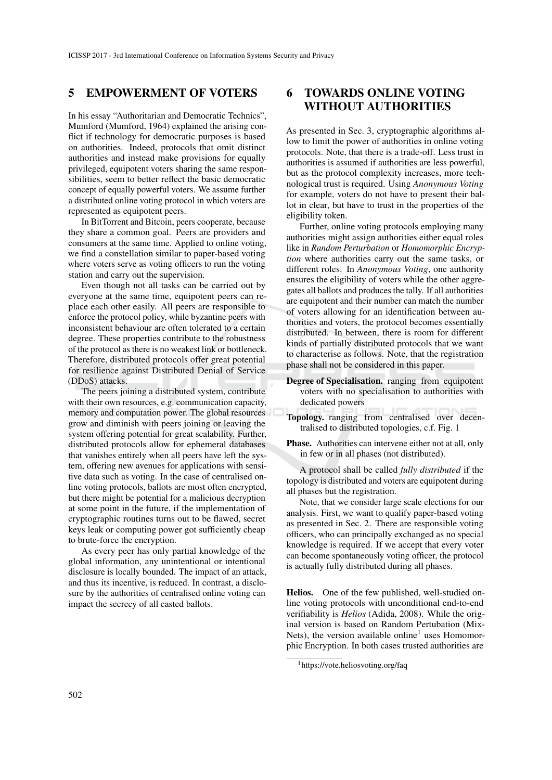## 5 EMPOWERMENT OF VOTERS

In his essay "Authoritarian and Democratic Technics", Mumford (Mumford, 1964) explained the arising conflict if technology for democratic purposes is based on authorities. Indeed, protocols that omit distinct authorities and instead make provisions for equally privileged, equipotent voters sharing the same responsibilities, seem to better reflect the basic democratic concept of equally powerful voters. We assume further a distributed online voting protocol in which voters are represented as equipotent peers.

In BitTorrent and Bitcoin, peers cooperate, because they share a common goal. Peers are providers and consumers at the same time. Applied to online voting, we find a constellation similar to paper-based voting where voters serve as voting officers to run the voting station and carry out the supervision.

Even though not all tasks can be carried out by everyone at the same time, equipotent peers can replace each other easily. All peers are responsible to enforce the protocol policy, while byzantine peers with inconsistent behaviour are often tolerated to a certain degree. These properties contribute to the robustness of the protocol as there is no weakest link or bottleneck. Therefore, distributed protocols offer great potential for resilience against Distributed Denial of Service (DDoS) attacks.

The peers joining a distributed system, contribute with their own resources, e.g. communication capacity, memory and computation power. The global resources grow and diminish with peers joining or leaving the system offering potential for great scalability. Further, distributed protocols allow for ephemeral databases that vanishes entirely when all peers have left the system, offering new avenues for applications with sensitive data such as voting. In the case of centralised online voting protocols, ballots are most often encrypted, but there might be potential for a malicious decryption at some point in the future, if the implementation of cryptographic routines turns out to be flawed, secret keys leak or computing power got sufficiently cheap to brute-force the encryption.

As every peer has only partial knowledge of the global information, any unintentional or intentional disclosure is locally bounded. The impact of an attack, and thus its incentive, is reduced. In contrast, a disclosure by the authorities of centralised online voting can impact the secrecy of all casted ballots.

# 6 TOWARDS ONLINE VOTING WITHOUT AUTHORITIES

As presented in Sec. 3, cryptographic algorithms allow to limit the power of authorities in online voting protocols. Note, that there is a trade-off. Less trust in authorities is assumed if authorities are less powerful, but as the protocol complexity increases, more technological trust is required. Using *Anonymous Voting* for example, voters do not have to present their ballot in clear, but have to trust in the properties of the eligibility token.

Further, online voting protocols employing many authorities might assign authorities either equal roles like in *Random Perturbation* or *Homomorphic Encryption* where authorities carry out the same tasks, or different roles. In *Anonymous Voting*, one authority ensures the eligibility of voters while the other aggregates all ballots and produces the tally. If all authorities are equipotent and their number can match the number of voters allowing for an identification between authorities and voters, the protocol becomes essentially distributed. In between, there is room for different kinds of partially distributed protocols that we want to characterise as follows. Note, that the registration phase shall not be considered in this paper.

- Degree of Specialisation. ranging from equipotent voters with no specialisation to authorities with dedicated powers
- Topology. ranging from centralised over decentralised to distributed topologies, c.f. Fig. 1
- Phase. Authorities can intervene either not at all, only in few or in all phases (not distributed).

A protocol shall be called *fully distributed* if the topology is distributed and voters are equipotent during all phases but the registration.

Note, that we consider large scale elections for our analysis. First, we want to qualify paper-based voting as presented in Sec. 2. There are responsible voting officers, who can principally exchanged as no special knowledge is required. If we accept that every voter can become spontaneously voting officer, the protocol is actually fully distributed during all phases.

Helios. One of the few published, well-studied online voting protocols with unconditional end-to-end verifiability is *Helios* (Adida, 2008). While the original version is based on Random Pertubation (Mix-Nets), the version available online<sup>1</sup> uses Homomorphic Encryption. In both cases trusted authorities are

<sup>1</sup>https://vote.heliosvoting.org/faq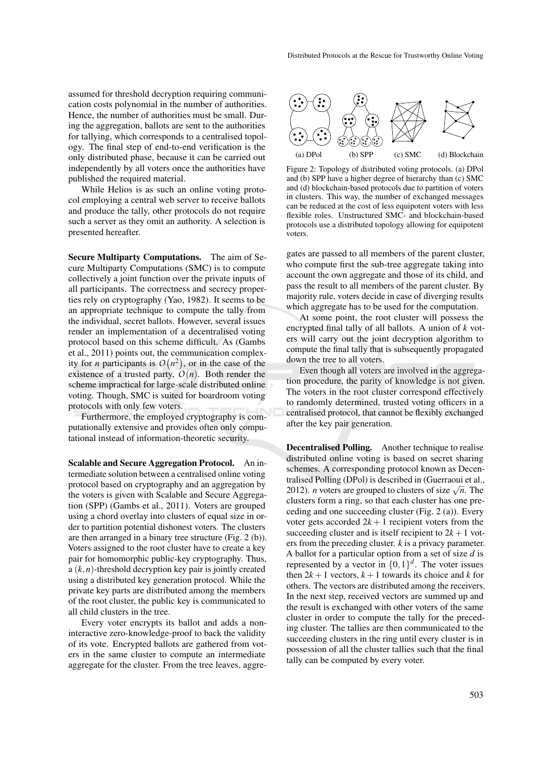assumed for threshold decryption requiring communication costs polynomial in the number of authorities. Hence, the number of authorities must be small. During the aggregation, ballots are sent to the authorities for tallying, which corresponds to a centralised topology. The final step of end-to-end verification is the only distributed phase, because it can be carried out independently by all voters once the authorities have published the required material.

While Helios is as such an online voting protocol employing a central web server to receive ballots and produce the tally, other protocols do not require such a server as they omit an authority. A selection is presented hereafter.

Secure Multiparty Computations. The aim of Secure Multiparty Computations (SMC) is to compute collectively a joint function over the private inputs of all participants. The correctness and secrecy properties rely on cryptography (Yao, 1982). It seems to be an appropriate technique to compute the tally from the individual, secret ballots. However, several issues render an implementation of a decentralised voting protocol based on this scheme difficult. As (Gambs et al., 2011) points out, the communication complexity for *n* participants is  $O(n^2)$ , or in the case of the existence of a trusted party,  $O(n)$ . Both render the scheme impractical for large-scale distributed online voting. Though, SMC is suited for boardroom voting protocols with only few voters.

Furthermore, the employed cryptography is computationally extensive and provides often only computational instead of information-theoretic security.

Scalable and Secure Aggregation Protocol. An intermediate solution between a centralised online voting protocol based on cryptography and an aggregation by the voters is given with Scalable and Secure Aggregation (SPP) (Gambs et al., 2011). Voters are grouped using a chord overlay into clusters of equal size in order to partition potential dishonest voters. The clusters are then arranged in a binary tree structure (Fig. 2 (b)). Voters assigned to the root cluster have to create a key pair for homomorphic public-key cryptography. Thus, a (*k*,*n*)-threshold decryption key pair is jointly created using a distributed key generation protocol. While the private key parts are distributed among the members of the root cluster, the public key is communicated to all child clusters in the tree.

Every voter encrypts its ballot and adds a noninteractive zero-knowledge-proof to back the validity of its vote. Encrypted ballots are gathered from voters in the same cluster to compute an intermediate aggregate for the cluster. From the tree leaves, aggre-



Figure 2: Topology of distributed voting protocols. (a) DPol and (b) SPP have a higher degree of hierarchy than (c) SMC and (d) blockchain-based protocols due to partition of voters in clusters. This way, the number of exchanged messages can be reduced at the cost of less equipotent voters with less flexible roles. Unstructured SMC- and blockchain-based protocols use a distributed topology allowing for equipotent voters.

gates are passed to all members of the parent cluster, who compute first the sub-tree aggregate taking into account the own aggregate and those of its child, and pass the result to all members of the parent cluster. By majority rule, voters decide in case of diverging results which aggregate has to be used for the computation.

At some point, the root cluster will possess the encrypted final tally of all ballots. A union of *k* voters will carry out the joint decryption algorithm to compute the final tally that is subsequently propagated down the tree to all voters.

Even though all voters are involved in the aggregation procedure, the parity of knowledge is not given. The voters in the root cluster correspond effectively to randomly determined, trusted voting officers in a centralised protocol, that cannot be flexibly exchanged after the key pair generation.

Decentralised Polling. Another technique to realise distributed online voting is based on secret sharing schemes. A corresponding protocol known as Decentralised Polling (DPol) is described in (Guerraoui et al., 2012). *n* voters are grouped to clusters of size  $\sqrt{n}$ . The clusters form a ring, so that each cluster has one preceding and one succeeding cluster (Fig. 2 (a)). Every voter gets accorded  $2k + 1$  recipient voters from the succeeding cluster and is itself recipient to  $2k + 1$  voters from the preceding cluster. *k* is a privacy parameter. A ballot for a particular option from a set of size *d* is represented by a vector in  $\{0,1\}^d$ . The voter issues then  $2k + 1$  vectors,  $k + 1$  towards its choice and *k* for others. The vectors are distributed among the receivers. In the next step, received vectors are summed up and the result is exchanged with other voters of the same cluster in order to compute the tally for the preceding cluster. The tallies are then communicated to the succeeding clusters in the ring until every cluster is in possession of all the cluster tallies such that the final tally can be computed by every voter.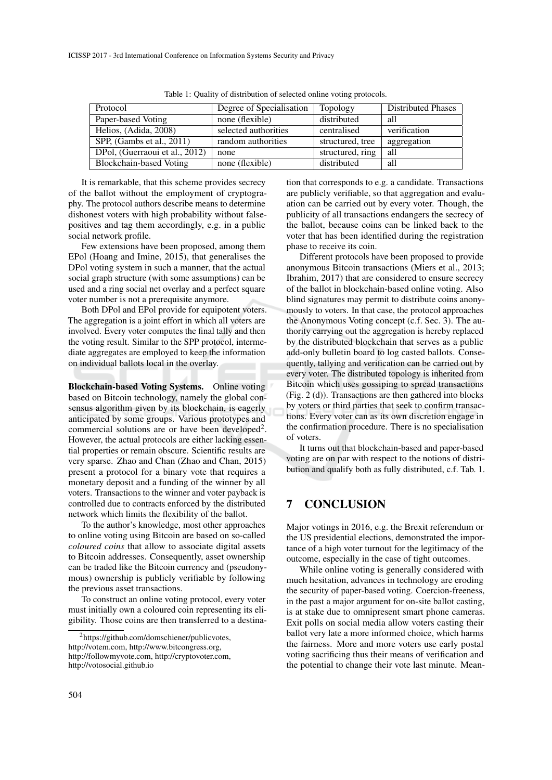| Protocol                       | Degree of Specialisation | Topology         | <b>Distributed Phases</b> |
|--------------------------------|--------------------------|------------------|---------------------------|
| Paper-based Voting             | none (flexible)          | distributed      | all                       |
| Helios, (Adida, 2008)          | selected authorities     | centralised      | verification              |
| SPP, (Gambs et al., 2011)      | random authorities       | structured, tree | aggregation               |
| DPol, (Guerraoui et al., 2012) | none                     | structured, ring | all                       |
| Blockchain-based Voting        | none (flexible)          | distributed      | all                       |

Table 1: Quality of distribution of selected online voting protocols.

It is remarkable, that this scheme provides secrecy of the ballot without the employment of cryptography. The protocol authors describe means to determine dishonest voters with high probability without falsepositives and tag them accordingly, e.g. in a public social network profile.

Few extensions have been proposed, among them EPol (Hoang and Imine, 2015), that generalises the DPol voting system in such a manner, that the actual social graph structure (with some assumptions) can be used and a ring social net overlay and a perfect square voter number is not a prerequisite anymore.

Both DPol and EPol provide for equipotent voters. The aggregation is a joint effort in which all voters are involved. Every voter computes the final tally and then the voting result. Similar to the SPP protocol, intermediate aggregates are employed to keep the information on individual ballots local in the overlay.

Blockchain-based Voting Systems. Online voting based on Bitcoin technology, namely the global consensus algorithm given by its blockchain, is eagerly anticipated by some groups. Various prototypes and commercial solutions are or have been developed<sup>2</sup>. However, the actual protocols are either lacking essential properties or remain obscure. Scientific results are very sparse. Zhao and Chan (Zhao and Chan, 2015) present a protocol for a binary vote that requires a monetary deposit and a funding of the winner by all voters. Transactions to the winner and voter payback is controlled due to contracts enforced by the distributed network which limits the flexibility of the ballot.

To the author's knowledge, most other approaches to online voting using Bitcoin are based on so-called *coloured coins* that allow to associate digital assets to Bitcoin addresses. Consequently, asset ownership can be traded like the Bitcoin currency and (pseudonymous) ownership is publicly verifiable by following the previous asset transactions.

To construct an online voting protocol, every voter must initially own a coloured coin representing its eligibility. Those coins are then transferred to a destination that corresponds to e.g. a candidate. Transactions are publicly verifiable, so that aggregation and evaluation can be carried out by every voter. Though, the publicity of all transactions endangers the secrecy of the ballot, because coins can be linked back to the voter that has been identified during the registration phase to receive its coin.

Different protocols have been proposed to provide anonymous Bitcoin transactions (Miers et al., 2013; Ibrahim, 2017) that are considered to ensure secrecy of the ballot in blockchain-based online voting. Also blind signatures may permit to distribute coins anonymously to voters. In that case, the protocol approaches the Anonymous Voting concept (c.f. Sec. 3). The authority carrying out the aggregation is hereby replaced by the distributed blockchain that serves as a public add-only bulletin board to log casted ballots. Consequently, tallying and verification can be carried out by every voter. The distributed topology is inherited from Bitcoin which uses gossiping to spread transactions (Fig. 2 (d)). Transactions are then gathered into blocks by voters or third parties that seek to confirm transactions. Every voter can as its own discretion engage in the confirmation procedure. There is no specialisation of voters.

It turns out that blockchain-based and paper-based voting are on par with respect to the notions of distribution and qualify both as fully distributed, c.f. Tab. 1.

## 7 CONCLUSION

Major votings in 2016, e.g. the Brexit referendum or the US presidential elections, demonstrated the importance of a high voter turnout for the legitimacy of the outcome, especially in the case of tight outcomes.

While online voting is generally considered with much hesitation, advances in technology are eroding the security of paper-based voting. Coercion-freeness, in the past a major argument for on-site ballot casting, is at stake due to omnipresent smart phone cameras. Exit polls on social media allow voters casting their ballot very late a more informed choice, which harms the fairness. More and more voters use early postal voting sacrificing thus their means of verification and the potential to change their vote last minute. Mean-

<sup>2</sup>https://github.com/domschiener/publicvotes, http://votem.com, http://www.bitcongress.org, http://followmyvote.com, http://cryptovoter.com, http://votosocial.github.io